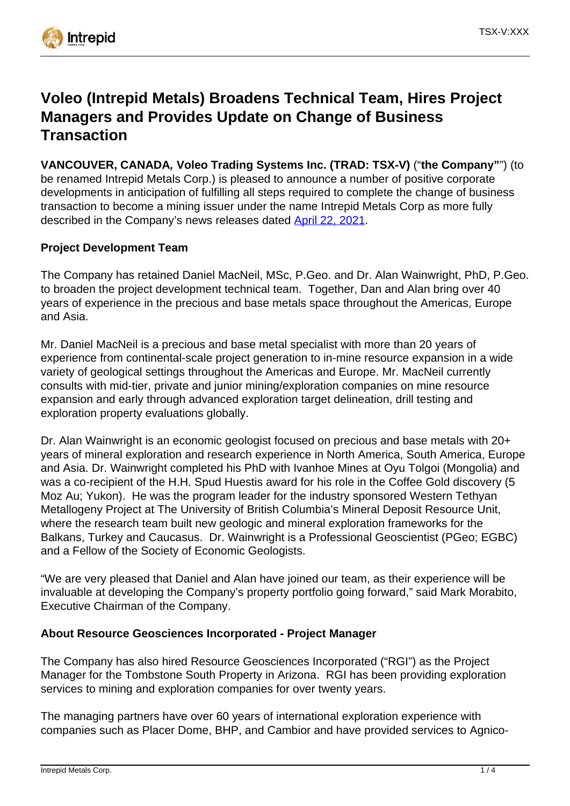

# **Voleo (Intrepid Metals) Broadens Technical Team, Hires Project Managers and Provides Update on Change of Business Transaction**

**VANCOUVER, CANADA, Voleo Trading Systems Inc. (TRAD: TSX-V)** ("**the Company"**") (to be renamed Intrepid Metals Corp.) is pleased to announce a number of positive corporate developments in anticipation of fulfilling all steps required to complete the change of business transaction to become a mining issuer under the name Intrepid Metals Corp as more fully described in the Company's news releases dated [April 22, 2021](https://www.intrepidmetals.com/news/2021/25-voleo-announces-option-agreement-on-the-tombstone-south-property-and-change-of-business-to-become-a-mining-issuer).

## **Project Development Team**

The Company has retained Daniel MacNeil, MSc, P.Geo. and Dr. Alan Wainwright, PhD, P.Geo. to broaden the project development technical team. Together, Dan and Alan bring over 40 years of experience in the precious and base metals space throughout the Americas, Europe and Asia.

Mr. Daniel MacNeil is a precious and base metal specialist with more than 20 years of experience from continental-scale project generation to in-mine resource expansion in a wide variety of geological settings throughout the Americas and Europe. Mr. MacNeil currently consults with mid-tier, private and junior mining/exploration companies on mine resource expansion and early through advanced exploration target delineation, drill testing and exploration property evaluations globally.

Dr. Alan Wainwright is an economic geologist focused on precious and base metals with 20+ years of mineral exploration and research experience in North America, South America, Europe and Asia. Dr. Wainwright completed his PhD with Ivanhoe Mines at Oyu Tolgoi (Mongolia) and was a co-recipient of the H.H. Spud Huestis award for his role in the Coffee Gold discovery (5 Moz Au; Yukon). He was the program leader for the industry sponsored Western Tethyan Metallogeny Project at The University of British Columbia's Mineral Deposit Resource Unit, where the research team built new geologic and mineral exploration frameworks for the Balkans, Turkey and Caucasus. Dr. Wainwright is a Professional Geoscientist (PGeo; EGBC) and a Fellow of the Society of Economic Geologists.

"We are very pleased that Daniel and Alan have joined our team, as their experience will be invaluable at developing the Company's property portfolio going forward," said Mark Morabito, Executive Chairman of the Company.

### **About Resource Geosciences Incorporated - Project Manager**

The Company has also hired Resource Geosciences Incorporated ("RGI") as the Project Manager for the Tombstone South Property in Arizona. RGI has been providing exploration services to mining and exploration companies for over twenty years.

The managing partners have over 60 years of international exploration experience with companies such as Placer Dome, BHP, and Cambior and have provided services to Agnico-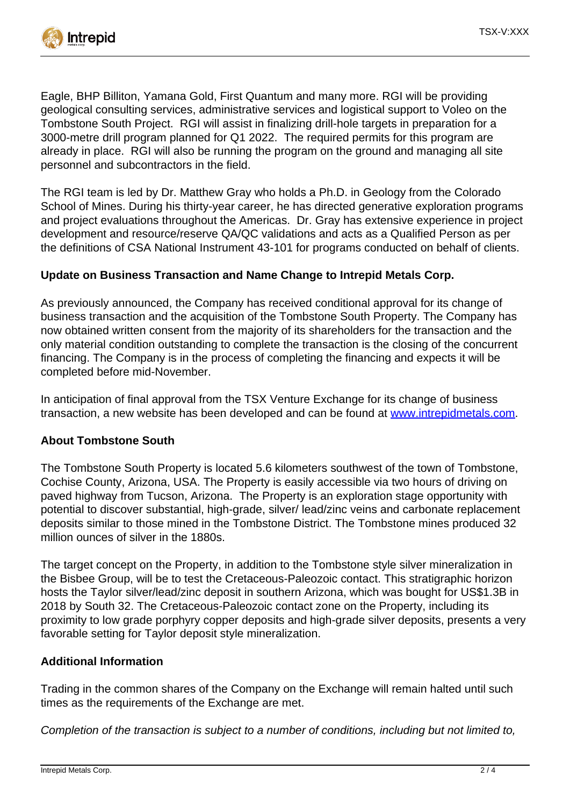

Eagle, BHP Billiton, Yamana Gold, First Quantum and many more. RGI will be providing geological consulting services, administrative services and logistical support to Voleo on the Tombstone South Project. RGI will assist in finalizing drill-hole targets in preparation for a 3000-metre drill program planned for Q1 2022. The required permits for this program are already in place. RGI will also be running the program on the ground and managing all site personnel and subcontractors in the field.

The RGI team is led by Dr. Matthew Gray who holds a Ph.D. in Geology from the Colorado School of Mines. During his thirty-year career, he has directed generative exploration programs and project evaluations throughout the Americas. Dr. Gray has extensive experience in project development and resource/reserve QA/QC validations and acts as a Qualified Person as per the definitions of CSA National Instrument 43-101 for programs conducted on behalf of clients.

### **Update on Business Transaction and Name Change to Intrepid Metals Corp.**

As previously announced, the Company has received conditional approval for its change of business transaction and the acquisition of the Tombstone South Property. The Company has now obtained written consent from the majority of its shareholders for the transaction and the only material condition outstanding to complete the transaction is the closing of the concurrent financing. The Company is in the process of completing the financing and expects it will be completed before mid-November.

In anticipation of final approval from the TSX Venture Exchange for its change of business transaction, a new website has been developed and can be found at [www.intrepidmetals.com](http://www.intrepidmetals.com).

### **About Tombstone South**

The Tombstone South Property is located 5.6 kilometers southwest of the town of Tombstone, Cochise County, Arizona, USA. The Property is easily accessible via two hours of driving on paved highway from Tucson, Arizona. The Property is an exploration stage opportunity with potential to discover substantial, high-grade, silver/ lead/zinc veins and carbonate replacement deposits similar to those mined in the Tombstone District. The Tombstone mines produced 32 million ounces of silver in the 1880s.

The target concept on the Property, in addition to the Tombstone style silver mineralization in the Bisbee Group, will be to test the Cretaceous-Paleozoic contact. This stratigraphic horizon hosts the Taylor silver/lead/zinc deposit in southern Arizona, which was bought for US\$1.3B in 2018 by South 32. The Cretaceous-Paleozoic contact zone on the Property, including its proximity to low grade porphyry copper deposits and high-grade silver deposits, presents a very favorable setting for Taylor deposit style mineralization.

### **Additional Information**

Trading in the common shares of the Company on the Exchange will remain halted until such times as the requirements of the Exchange are met.

Completion of the transaction is subject to a number of conditions, including but not limited to,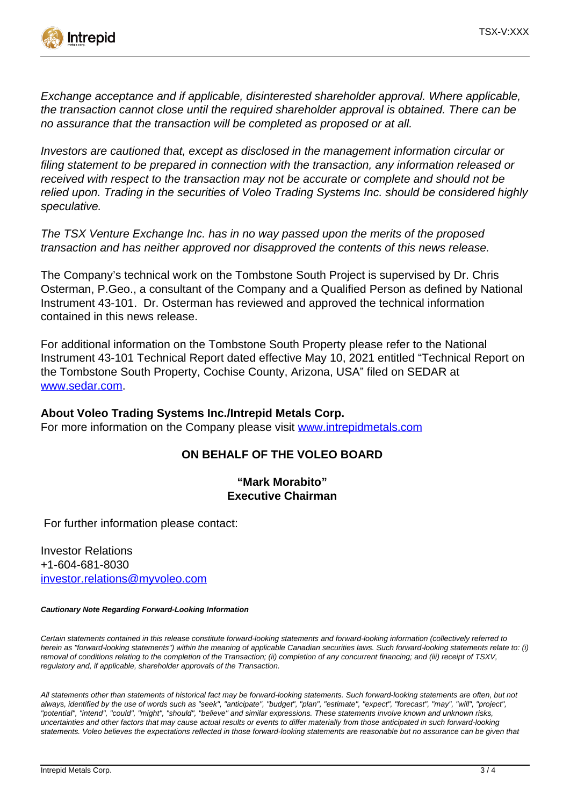

Exchange acceptance and if applicable, disinterested shareholder approval. Where applicable, the transaction cannot close until the required shareholder approval is obtained. There can be no assurance that the transaction will be completed as proposed or at all.

Investors are cautioned that, except as disclosed in the management information circular or filing statement to be prepared in connection with the transaction, any information released or received with respect to the transaction may not be accurate or complete and should not be relied upon. Trading in the securities of Voleo Trading Systems Inc. should be considered highly speculative.

The TSX Venture Exchange Inc. has in no way passed upon the merits of the proposed transaction and has neither approved nor disapproved the contents of this news release.

The Company's technical work on the Tombstone South Project is supervised by Dr. Chris Osterman, P.Geo., a consultant of the Company and a Qualified Person as defined by National Instrument 43-101. Dr. Osterman has reviewed and approved the technical information contained in this news release.

For additional information on the Tombstone South Property please refer to the National Instrument 43-101 Technical Report dated effective May 10, 2021 entitled "Technical Report on the Tombstone South Property, Cochise County, Arizona, USA" filed on SEDAR at [www.sedar.com.](http://www.sedar.com)

### **About Voleo Trading Systems Inc./Intrepid Metals Corp.**

For more information on the Company please visit [www.intrepidmetals.com](http://www.intrepidmetals.com)

### **ON BEHALF OF THE VOLEO BOARD**

### **"Mark Morabito" Executive Chairman**

For further information please contact:

Investor Relations +1-604-681-8030 [investor.relations@myvoleo.com](mailto:investor.relations@myvoleo.com)

#### **Cautionary Note Regarding Forward-Looking Information**

Certain statements contained in this release constitute forward-looking statements and forward-looking information (collectively referred to herein as "forward-looking statements") within the meaning of applicable Canadian securities laws. Such forward-looking statements relate to: (i) removal of conditions relating to the completion of the Transaction; (ii) completion of any concurrent financing; and (iii) receipt of TSXV, regulatory and, if applicable, shareholder approvals of the Transaction.

All statements other than statements of historical fact may be forward-looking statements. Such forward-looking statements are often, but not always, identified by the use of words such as "seek", "anticipate", "budget", "plan", "estimate", "expect", "forecast", "may", "will", "project", "potential", "intend", "could", "might", "should", "believe" and similar expressions. These statements involve known and unknown risks, uncertainties and other factors that may cause actual results or events to differ materially from those anticipated in such forward-looking statements. Voleo believes the expectations reflected in those forward-looking statements are reasonable but no assurance can be given that